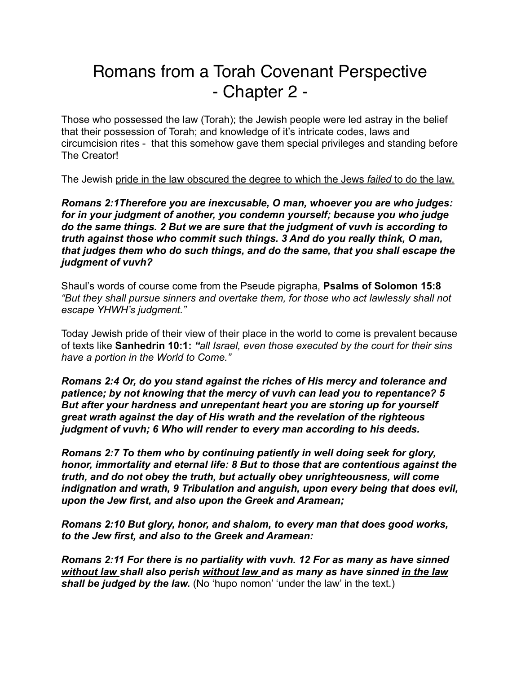# Romans from a Torah Covenant Perspective - Chapter 2 -

Those who possessed the law (Torah); the Jewish people were led astray in the belief that their possession of Torah; and knowledge of it's intricate codes, laws and circumcision rites - that this somehow gave them special privileges and standing before The Creator!

The Jewish pride in the law obscured the degree to which the Jews *failed* to do the law.

*Romans 2:1Therefore you are inexcusable, O man, whoever you are who judges: for in your judgment of another, you condemn yourself; because you who judge do the same things. 2 But we are sure that the judgment of vuvh is according to truth against those who commit such things. 3 And do you really think, O man, that judges them who do such things, and do the same, that you shall escape the judgment of vuvh?* 

Shaul's words of course come from the Pseude pigrapha, **Psalms of Solomon 15:8**  *"But they shall pursue sinners and overtake them, for those who act lawlessly shall not escape YHWH's judgment."* 

Today Jewish pride of their view of their place in the world to come is prevalent because of texts like **Sanhedrin 10:1:** *"all Israel, even those executed by the court for their sins have a portion in the World to Come."* 

*Romans 2:4 Or, do you stand against the riches of His mercy and tolerance and patience; by not knowing that the mercy of vuvh can lead you to repentance? 5 But after your hardness and unrepentant heart you are storing up for yourself great wrath against the day of His wrath and the revelation of the righteous judgment of vuvh; 6 Who will render to every man according to his deeds.* 

*Romans 2:7 To them who by continuing patiently in well doing seek for glory, honor, immortality and eternal life: 8 But to those that are contentious against the truth, and do not obey the truth, but actually obey unrighteousness, will come indignation and wrath, 9 Tribulation and anguish, upon every being that does evil, upon the Jew first, and also upon the Greek and Aramean;* 

*Romans 2:10 But glory, honor, and shalom, to every man that does good works, to the Jew first, and also to the Greek and Aramean:* 

*Romans 2:11 For there is no partiality with vuvh. 12 For as many as have sinned without law shall also perish without law and as many as have sinned in the law shall be judged by the law.* (No 'hupo nomon' 'under the law' in the text.)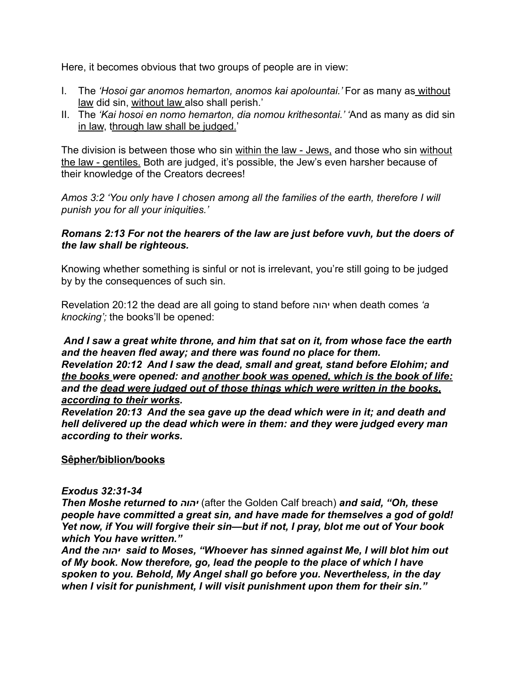Here, it becomes obvious that two groups of people are in view:

- I. The *'Hosoi gar anomos hemarton, anomos kai apolountai.'* For as many as without law did sin, without law also shall perish.'
- II. The *'Kai hosoi en nomo hemarton, dia nomou krithesontai.' '*And as many as did sin in law, through law shall be judged.'

The division is between those who sin within the law - Jews, and those who sin without the law - gentiles. Both are judged, it's possible, the Jew's even harsher because of their knowledge of the Creators decrees!

*Amos 3:2 'You only have I chosen among all the families of the earth, therefore I will punish you for all your iniquities.'* 

## *Romans 2:13 For not the hearers of the law are just before vuvh, but the doers of the law shall be righteous.*

Knowing whether something is sinful or not is irrelevant, you're still going to be judged by by the consequences of such sin.

Revelation 20:12 the dead are all going to stand before יהוה when death comes *'a knocking';* the books'll be opened:

 *And I saw a great white throne, and him that sat on it, from whose face the earth and the heaven fled away; and there was found no place for them. Revelation 20:12 And I saw the dead, small and great, stand before Elohim; and the books were opened: and another book was opened, which is the book of life: and the dead were judged out of those things which were written in the books,* 

#### *according to their works.*

*Revelation 20:13 And the sea gave up the dead which were in it; and death and hell delivered up the dead which were in them: and they were judged every man according to their works.*

# **Sêpher/biblion/books**

#### *[Exodus 32:31-34](https://www.biblegateway.com/passage/?search=exodus%2032:31-34&version=NKJV)*

*Then Moshe returned to יהוה*) after the Golden Calf breach) *and said, "Oh, these people have committed a great sin, and have made for themselves a god of gold! Yet now, if You will forgive their sin—but if not, I pray, blot me out of Your book which You have written."*

*And the יהוה said to Moses, "Whoever has sinned against Me, I will blot him out of My book. Now therefore, go, lead the people to the place of which I have spoken to you. Behold, My Angel shall go before you. Nevertheless, in the day when I visit for punishment, I will visit punishment upon them for their sin."*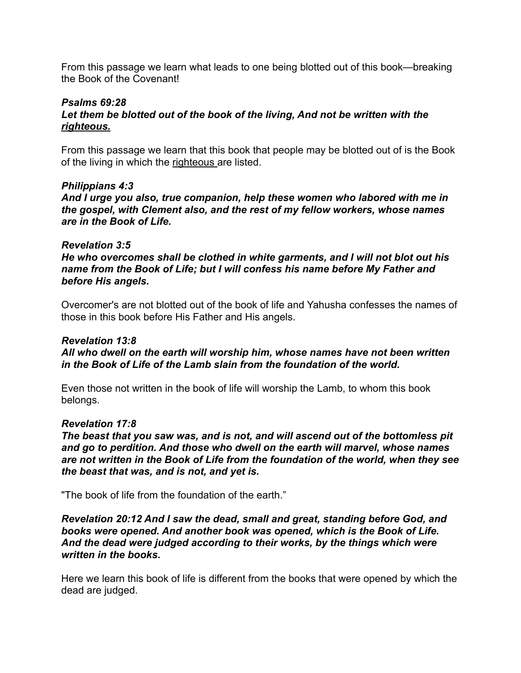From this passage we learn what leads to one being blotted out of this book—breaking the Book of the Covenant!

#### *[Psalms 69:28](https://www.biblegateway.com/passage/?search=Psalm%2069:28&version=NKJV)*  Let them be blotted out of the book of the living, And not be written with the *righteous.*

From this passage we learn that this book that people may be blotted out of is the Book of the living in which the righteous are listed.

#### *[Philippians 4:3](https://www.biblegateway.com/passage/?search=Phil%204:3&version=NKJV)*

*And I urge you also, true companion, help these women who labored with me in the gospel, with Clement also, and the rest of my fellow workers, whose names are in the Book of Life.*

#### *[Revelation 3:5](https://www.biblegateway.com/passage/?search=rev.%203:5&version=NKJV)*

*He who overcomes shall be clothed in white garments, and I will not blot out his name from the Book of Life; but I will confess his name before My Father and before His angels.*

Overcomer's are not blotted out of the book of life and Yahusha confesses the names of those in this book before His Father and His angels.

# *[Revelation 13:8](https://www.biblegateway.com/passage/?search=rev.%2013:8&version=NKJV)*

*All who dwell on the earth will worship him, whose names have not been written in the Book of Life of the Lamb slain from the foundation of the world.*

Even those not written in the book of life will worship the Lamb, to whom this book belongs.

#### *[Revelation 17:8](https://www.biblegateway.com/passage/?search=rev.%2017:8&version=NKJV)*

*The beast that you saw was, and is not, and will ascend out of the bottomless pit and go to perdition. And those who dwell on the earth will marvel, whose names are not written in the Book of Life from the foundation of the world, when they see the beast that was, and is not, and yet is.*

"The book of life from the foundation of the earth."

*Revelation 20:12 And I saw the dead, small and great, standing before God, and books were opened. And another book was opened, which is the Book of Life. And the dead were judged according to their works, by the things which were written in the books.*

Here we learn this book of life is different from the books that were opened by which the dead are judged.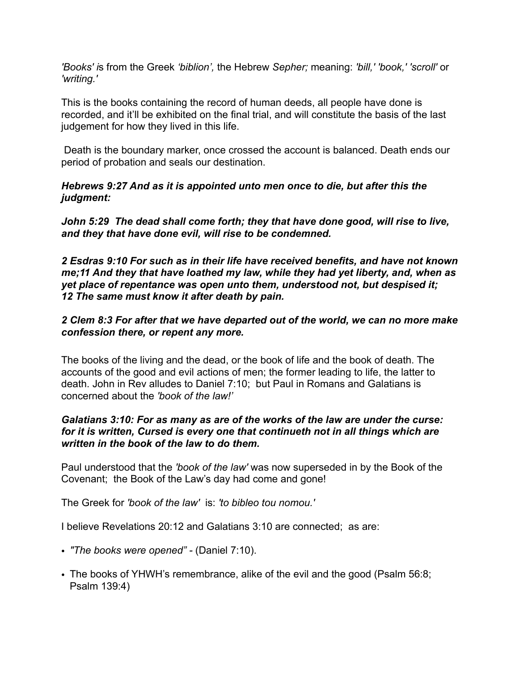*'Books' i*s from the Greek *'biblion',* the Hebrew *Sepher;* meaning: *'bill,' 'book,' 'scroll'* or *'writing.'* 

This is the books containing the record of human deeds, all people have done is recorded, and it'll be exhibited on the final trial, and will constitute the basis of the last judgement for how they lived in this life.

 Death is the boundary marker, once crossed the account is balanced. Death ends our period of probation and seals our destination.

# *Hebrews 9:27 And as it is appointed unto men once to die, but after this the judgment:*

*John 5:29 The dead shall come forth; they that have done good, will rise to live, and they that have done evil, will rise to be condemned.* 

*2 Esdras 9:10 For such as in their life have received benefits, and have not known me;11 And they that have loathed my law, while they had yet liberty, and, when as yet place of repentance was open unto them, understood not, but despised it; 12 The same must know it after death by pain.*

# *2 Clem 8:3 For after that we have departed out of the world, we can no more make confession there, or repent any more.*

The books of the living and the dead, or the book of life and the book of death. The accounts of the good and evil actions of men; the former leading to life, the latter to death. John in Rev alludes to Daniel 7:10; but Paul in Romans and Galatians is concerned about the *'book of the law!'* 

#### *Galatians 3:10: For as many as are of the works of the law are under the curse: for it is written, Cursed is every one that continueth not in all things which are written in the book of the law to do them.*

Paul understood that the *'book of the law'* was now superseded in by the Book of the Covenant; the Book of the Law's day had come and gone!

The Greek for *'book of the law'* is: *'to bibleo tou nomou.'* 

I believe Revelations 20:12 and Galatians 3:10 are connected; as are:

- *"The books were opened" -* (Daniel 7:10).
- The books of YHWH's remembrance, alike of the evil and the good (Psalm 56:8; Psalm 139:4)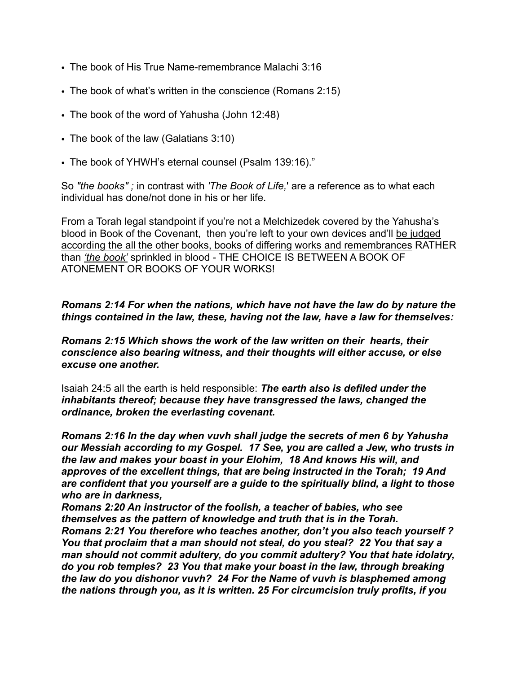- The book of His True Name-remembrance Malachi 3:16
- The book of what's written in the conscience (Romans 2:15)
- The book of the word of Yahusha (John 12:48)
- The book of the law (Galatians 3:10)
- The book of YHWH's eternal counsel (Psalm 139:16)."

So *"the books" ;* in contrast with *'The Book of Life,*' are a reference as to what each individual has done/not done in his or her life.

From a Torah legal standpoint if you're not a Melchizedek covered by the Yahusha's blood in Book of the Covenant, then you're left to your own devices and'll be judged according the all the other books, books of differing works and remembrances RATHER than *'the book'* sprinkled in blood - THE CHOICE IS BETWEEN A BOOK OF ATONEMENT OR BOOKS OF YOUR WORKS!

## *Romans 2:14 For when the nations, which have not have the law do by nature the things contained in the law, these, having not the law, have a law for themselves:*

*Romans 2:15 Which shows the work of the law written on their hearts, their conscience also bearing witness, and their thoughts will either accuse, or else excuse one another.* 

Isaiah 24:5 all the earth is held responsible: *The earth also is defiled under the inhabitants thereof; because they have transgressed the laws, changed the ordinance, broken the everlasting covenant.*

*Romans 2:16 In the day when vuvh shall judge the secrets of men 6 by Yahusha our Messiah according to my Gospel. 17 See, you are called a Jew, who trusts in the law and makes your boast in your Elohim, 18 And knows His will, and approves of the excellent things, that are being instructed in the Torah; 19 And are confident that you yourself are a guide to the spiritually blind, a light to those who are in darkness,* 

*Romans 2:20 An instructor of the foolish, a teacher of babies, who see themselves as the pattern of knowledge and truth that is in the Torah.* 

*Romans 2:21 You therefore who teaches another, don't you also teach yourself ? You that proclaim that a man should not steal, do you steal? 22 You that say a man should not commit adultery, do you commit adultery? You that hate idolatry, do you rob temples? 23 You that make your boast in the law, through breaking the law do you dishonor vuvh? 24 For the Name of vuvh is blasphemed among the nations through you, as it is written. 25 For circumcision truly profits, if you*